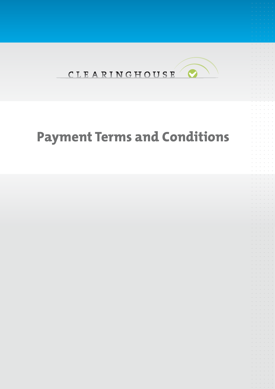

## **Payment Terms and Conditions**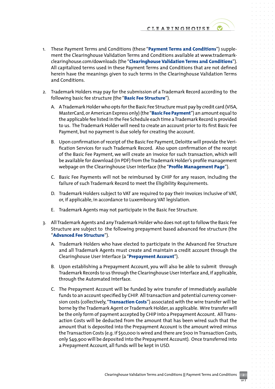CLEARINGHOUSE

- 1. These Payment Terms and Conditions (these "**Payment Terms and Conditions**") supplement the Clearinghouse Validation Terms and Conditions available at www.trademarkclearinghouse.com/downloads (the "**Clearinghouse Validation Terms and Conditions**"). All capitalized terms used in these Payment Terms and Conditions that are not defined herein have the meanings given to such terms in the Clearinghouse Validation Terms and Conditions.
- 2. Trademark Holders may pay for the submission of a Trademark Record according to the following basic fee structure (the "**Basic Fee Structure**").
	- A. A Trademark Holder who opts for the Basic Fee Structure must pay by credit card (VISA, MasterCard, or American Express only) (the "**Basic Fee Payment**") an amount equal to the applicable fee listed in the Fee Schedule each time a Trademark Record is provided to us. The Trademark Holder will need to create an account prior to its first Basic Fee Payment, but no payment is due solely for creating the account.
	- B. Upon confirmation of receipt of the Basic Fee Payment, Deloitte will provide the Verification Services for such Trademark Record. Also upon confirmation of the receipt of the Basic Fee Payment, we will create an invoice for such transaction, which will be available for download (in PDF) from the Trademark Holder's profile management webpage on the Clearinghouse User Interface (the "**Profile Management Page**").
	- C. Basic Fee Payments will not be reimbursed by CHIP for any reason, including the failure of such Trademark Record to meet the Eligibility Requirements.
	- D. Trademark Holders subject to VAT are required to pay their invoices inclusive of VAT, or, if applicable, in accordance to Luxembourg VAT legislation.
	- E. Trademark Agents may not participate in the Basic Fee Structure.
- 3. All Trademark Agents and any Trademark Holder who does not opt to follow the Basic Fee Structure are subject to the following prepayment based advanced fee structure (the "**Advanced Fee Structure**").
	- A. Trademark Holders who have elected to participate in the Advanced Fee Structure and all Trademark Agents must create and maintain a credit account through the Clearinghouse User Interface (a "**Prepayment Account**").
	- B. Upon establishing a Prepayment Account, you will also be able to submit through Trademark Records to us through the Clearinghouse User Interface and, if applicable, through the Automated Interface.
	- C. The Prepayment Account will be funded by wire transfer of immediately available funds to an account specified by CHIP. All transaction and potential currency conversion costs (collectively, "**Transaction Costs**") associated with the wire transfer will be borne by the Trademark Agent or Trademark Holder, as applicable. Wire transfer will be the only form of payment accepted by CHIP into a Prepayment Account. All Transaction Costs will be deducted from the amount that has been wired such that the amount that is deposited into the Prepayment Account is the amount wired minus the Transaction Costs (e.g. if \$50,000 is wired and there are \$100 in Transaction Costs, only \$49,900 will be deposited into the Prepayment Account). Once transferred into a Prepayment Account, all funds will be kept in USD.

of 3